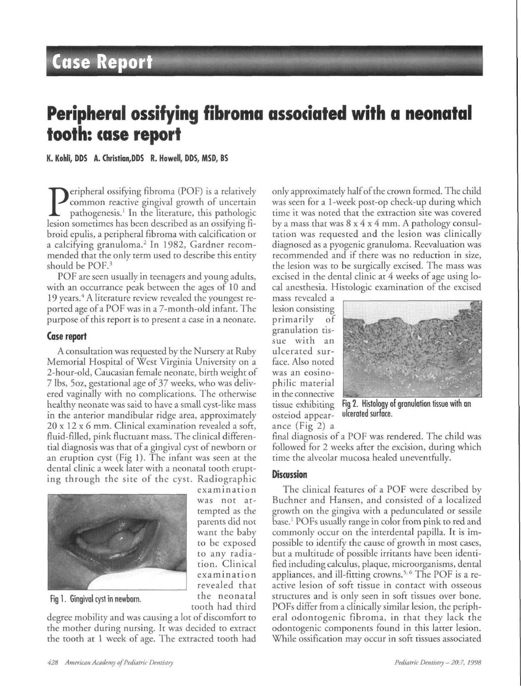# **Case Report**

## **Peripheral ossifying fibroma associated with a neonatal tooth: case report**

**K. Kohli, DDS A. Christian,DDS R. Howell, DDS, MSD, BS**

**P** eripheral ossifying fibroma (POF) is a relatively common reactive gingival growth of uncertain pathogenesis.<sup>1</sup> In the literature, this pathologic lesion sometimes has been described as an ossifying fieripheral ossifying fibroma (POP) is a relatively common reactive gingival growth of uncertain pathogenesis.' In the literature, this pathologic broid epulis, a peripheral fibroma with calcification or a calcifying granuloma.<sup>2</sup> In 1982, Gardner recommended that the only term used to describe this entity should be POF.<sup>3</sup>

POF are seen usually in teenagers and young adults, with an occurrance peak between the ages of 10 and 19 years.<sup>4</sup> A literature review revealed the youngest reported age of a POP was in a 7-month-old infant. The purpose of this report is to present a case in a neonate.

#### **Cose report**

A consultation was requested by the Nursery at Ruby Memorial Hospital of West Virginia University on a 2-hour-old, Caucasian female neonate, birth weight of 7 lbs, 5oz, gestational age of 37 weeks, who was delivered vaginally with no complications. The otherwise healthy neonate was said to have a small cyst-like mass in the anterior mandibular ridge area, approximately 20 x 12x6 mm. Clinical examination revealed a soft, fluid-filled, pink fluctuant mass. The clinical differential diagnosis was that of a gingival cyst of newborn or an eruption cyst (Fig 1). The infant was seen at the dental clinic a week later with a neonatal tooth erupting through the site of the cyst. Radiographic



Fig 1. Gingival cyst in newborn.

degree mobility and was causing a lot of discomfort to the mother during nursing. It was decided to extract the tooth at 1 week of age. The extracted tooth had

only approximately half of the crown formed. The child was seen for a 1-week post-op check-up during which time it was noted that the extraction site was covered by a mass that was  $8 \times 4 \times 4$  mm. A pathology consultation was requested and the lesion was clinically diagnosed as a pyogenic granuloma. Reevaluation was recommended and if there was no reduction in size, the lesion was to be surgically excised. The mass was excised in the dental clinic at 4 weeks of age using local anesthesia. Histologic examination of the excised

mass revealed a lesion consisting primarily of granulation tissue with an ulcerated surface. Also noted was an eosinophilic material in the connective tissue exhibiting osteiod appearance (Fig 2) a



Fig 2. Histology of granulation tissue with an ulcerated surface.

final diagnosis of a POP was rendered. The child was followed for 2 weeks after the excision, during which time the alveolar mucosa healed uneventfully.

#### **Discussion**

examinatio n was not attempted as the parents did not want the baby to be exposed to any radiation. Clinical examinatio n revealed that the neonatal tooth had third

The clinical features of a POP were described by Buchner and Hansen, and consisted of a localized growth on the gingiva with a pedunculated or sessile base.' POFs usually range in color from pink to red and commonly occur on the interdental papilla. It is impossible to identify the cause of growth in most cases, but a multitude of possible irritants have been identified including calculus, plaque, microorganisms, dental appliances, and ill-fitting crowns.<sup>5, 6</sup> The POF is a reactive lesion of soft tissue in contact with osseous structures and is only seen in soft tissues over bone. POFs differ from a clinically similar lesion, the peripheral odontogenic fibroma, in that they lack the odontogenic components found in this latter lesion. While ossification may occur in soft tissues associated